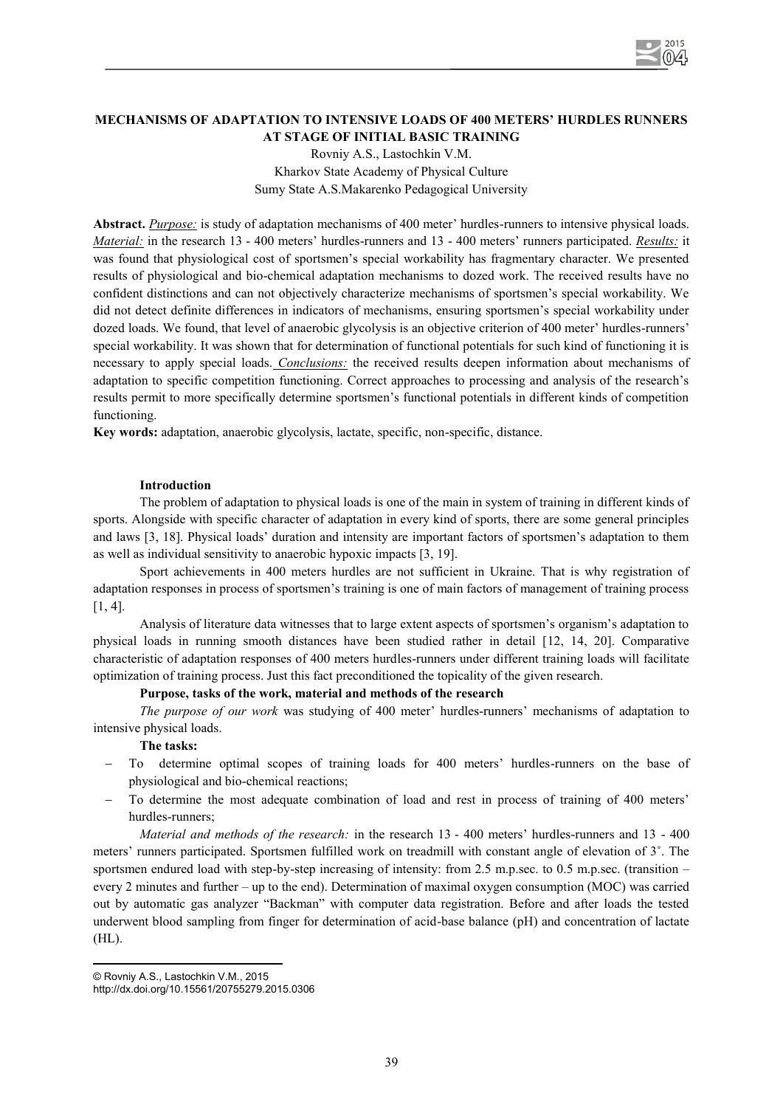

# **MECHANISMS OF ADAPTATION TO INTENSIVE LOADS OF 400 METERS' HURDLES RUNNERS AT STAGE OF INITIAL BASIC TRAINING**  Rovniy A.S., Lastochkin V.M.

Kharkov State Academy of Physical Culture Sumy State A.S.Makarenko Pedagogical University

**Abstract.** *Purpose:* is study of adaptation mechanisms of 400 meter' hurdles-runners to intensive physical loads. *Material:* in the research 13 - 400 meters' hurdles-runners and 13 - 400 meters' runners participated. *Results:* it was found that physiological cost of sportsmen's special workability has fragmentary character. We presented results of physiological and bio-chemical adaptation mechanisms to dozed work. The received results have no confident distinctions and can not objectively characterize mechanisms of sportsmen's special workability. We did not detect definite differences in indicators of mechanisms, ensuring sportsmen's special workability under dozed loads. We found, that level of anaerobic glycolysis is an objective criterion of 400 meter' hurdles-runners' special workability. It was shown that for determination of functional potentials for such kind of functioning it is necessary to apply special loads. *Conclusions:* the received results deepen information about mechanisms of adaptation to specific competition functioning. Correct approaches to processing and analysis of the research's results permit to more specifically determine sportsmen's functional potentials in different kinds of competition functioning.

**Key words:** adaptation, anaerobic glycolysis, lactate, specific, non-specific, distance.

## **Introduction**

The problem of adaptation to physical loads is one of the main in system of training in different kinds of sports. Alongside with specific character of adaptation in every kind of sports, there are some general principles and laws [3, 18]. Physical loads' duration and intensity are important factors of sportsmen's adaptation to them as well as individual sensitivity to anaerobic hypoxic impacts [3, 19].

Sport achievements in 400 meters hurdles are not sufficient in Ukraine. That is why registration of adaptation responses in process of sportsmen's training is one of main factors of management of training process [1, 4].

Analysis of literature data witnesses that to large extent aspects of sportsmen's organism's adaptation to physical loads in running smooth distances have been studied rather in detail [12, 14, 20]. Comparative characteristic of adaptation responses of 400 meters hurdles-runners under different training loads will facilitate optimization of training process. Just this fact preconditioned the topicality of the given research.

#### **Purpose, tasks of the work, material and methods of the research**

*The purpose of our work* was studying of 400 meter' hurdles-runners' mechanisms of adaptation to intensive physical loads.

#### **The tasks:**

- To determine optimal scopes of training loads for 400 meters' hurdles-runners on the base of physiological and bio-chemical reactions;
- To determine the most adequate combination of load and rest in process of training of 400 meters' hurdles-runners;

*Material and methods of the research:* in the research 13 - 400 meters' hurdles-runners and 13 - 400 meters' runners participated. Sportsmen fulfilled work on treadmill with constant angle of elevation of 3˚. The sportsmen endured load with step-by-step increasing of intensity: from 2.5 m.p.sec. to 0.5 m.p.sec. (transition – every 2 minutes and further – up to the end). Determination of maximal oxygen consumption (MOC) was carried out by automatic gas analyzer "Backman" with computer data registration. Before and after loads the tested underwent blood sampling from finger for determination of acid-base balance (рН) and concentration of lactate (HL).

l © Rovniy A.S., Lastochkin V.M., 2015

http://dx.doi.org/10.15561/20755279.2015.0306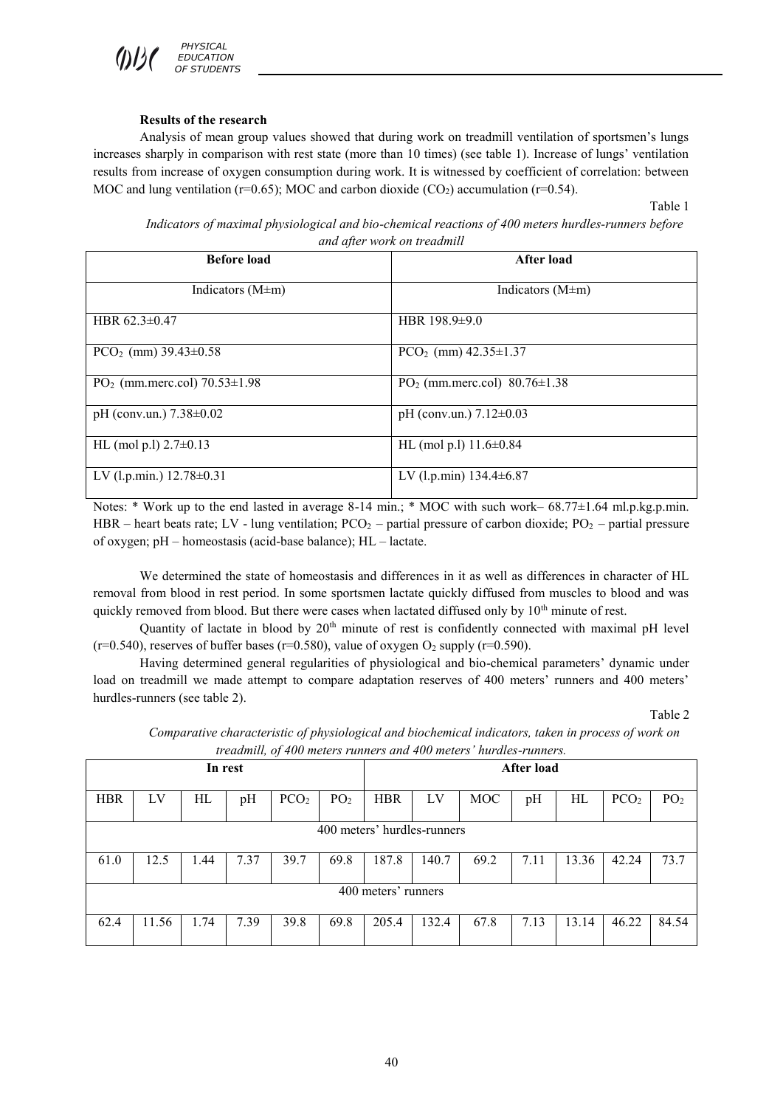*PHYSICAL EDUCATION OF STUDENTS*

### **Results of the research**

Analysis of mean group values showed that during work on treadmill ventilation of sportsmen's lungs increases sharply in comparison with rest state (more than 10 times) (see table 1). Increase of lungs' ventilation results from increase of oxygen consumption during work. It is witnessed by coefficient of correlation: between MOC and lung ventilation ( $r=0.65$ ); MOC and carbon dioxide (CO<sub>2</sub>) accumulation ( $r=0.54$ ).

Table 1

*Indicators of maximal physiological and bio-chemical reactions of 400 meters hurdles-runners before and after work on treadmill* 

| <b>Before load</b>                             | <b>After load</b>                      |
|------------------------------------------------|----------------------------------------|
| Indicators $(M \pm m)$                         | Indicators $(M \pm m)$                 |
| HBR $62.3\pm0.47$                              | HBR $198.9\pm9.0$                      |
| $PCO2$ (mm) 39.43±0.58                         | PCO <sub>2</sub> (mm) $42.35 \pm 1.37$ |
| PO <sub>2</sub> (mm.merc.col) $70.53 \pm 1.98$ | $PO2$ (mm.merc.col) 80.76 $\pm$ 1.38   |
| pH (conv.un.) $7.38 \pm 0.02$                  | pH (conv.un.) $7.12 \pm 0.03$          |
| HL (mol p.l) $2.7\pm0.13$                      | HL (mol p.l) $11.6 \pm 0.84$           |
| LV (l.p.min.) $12.78 \pm 0.31$                 | LV (l.p.min) $134.4 \pm 6.87$          |

Notes: \* Work up to the end lasted in average 8-14 min.; \* MOC with such work– 68.77±1.64 ml.p.kg.p.min. HBR – heart beats rate; LV - lung ventilation;  $PCO<sub>2</sub>$  – partial pressure of carbon dioxide;  $PO<sub>2</sub>$  – partial pressure of oxygen; рН – homeostasis (acid-base balance); HL – lactate.

We determined the state of homeostasis and differences in it as well as differences in character of HL removal from blood in rest period. In some sportsmen lactate quickly diffused from muscles to blood and was quickly removed from blood. But there were cases when lactated diffused only by 10<sup>th</sup> minute of rest.

Quantity of lactate in blood by 20<sup>th</sup> minute of rest is confidently connected with maximal pH level (r=0.540), reserves of buffer bases (r=0.580), value of oxygen  $O_2$  supply (r=0.590).

Having determined general regularities of physiological and bio-chemical parameters' dynamic under load on treadmill we made attempt to compare adaptation reserves of 400 meters' runners and 400 meters' hurdles-runners (see table 2).

Table 2

|                             | <i>reaamuu, of 400 meters runners and 400 meters nurales-runners.</i> |      |      |                  |                 |            |       |            |      |       |                  |                 |
|-----------------------------|-----------------------------------------------------------------------|------|------|------------------|-----------------|------------|-------|------------|------|-------|------------------|-----------------|
| In rest                     |                                                                       |      |      | After load       |                 |            |       |            |      |       |                  |                 |
| <b>HBR</b>                  | LV                                                                    | HL   | pH   | PCO <sub>2</sub> | PO <sub>2</sub> | <b>HBR</b> | LV    | <b>MOC</b> | pH   | HL    | PCO <sub>2</sub> | PO <sub>2</sub> |
| 400 meters' hurdles-runners |                                                                       |      |      |                  |                 |            |       |            |      |       |                  |                 |
| 61.0                        | 12.5                                                                  | 1.44 | 7.37 | 39.7             | 69.8            | 187.8      | 140.7 | 69.2       | 7.11 | 13.36 | 42.24            | 73.7            |
| 400 meters' runners         |                                                                       |      |      |                  |                 |            |       |            |      |       |                  |                 |
| 62.4                        | 11.56                                                                 | 1.74 | 7.39 | 39.8             | 69.8            | 205.4      | 132.4 | 67.8       | 7.13 | 13.14 | 46.22            | 84.54           |

*Comparative characteristic of physiological and biochemical indicators, taken in process of work on treadmill, of 400 meters runners and 400 meters' hurdles-runners.*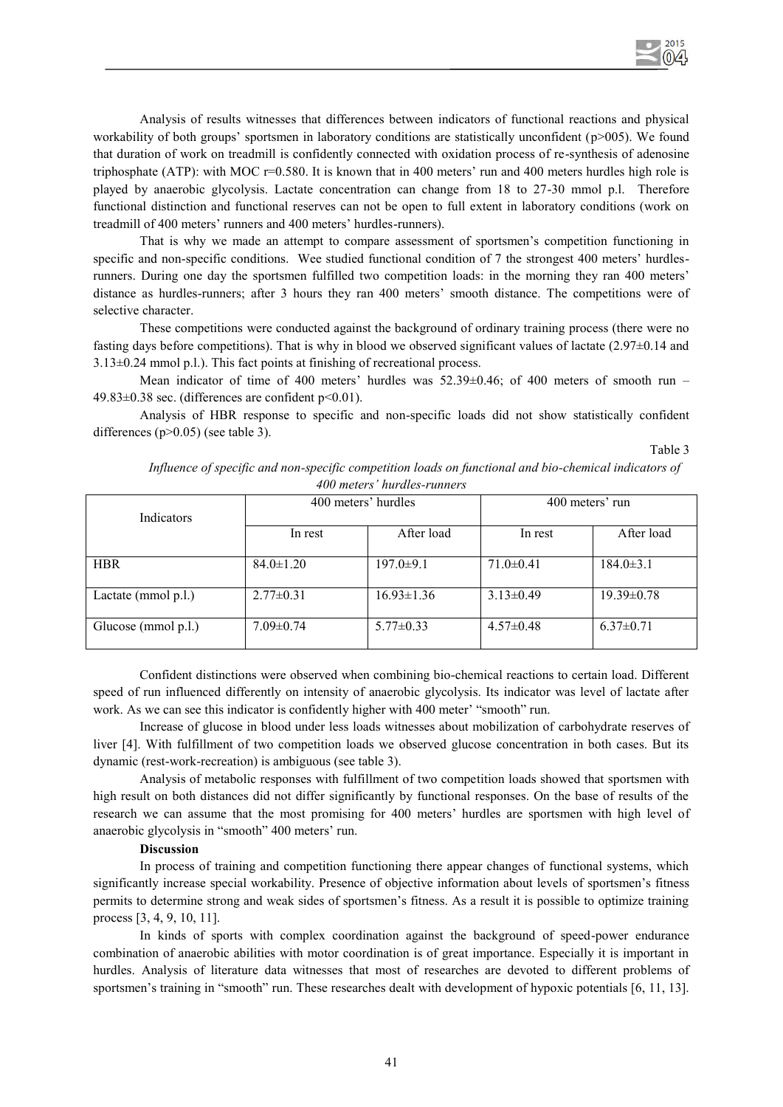

Analysis of results witnesses that differences between indicators of functional reactions and physical workability of both groups' sportsmen in laboratory conditions are statistically unconfident (p>005). We found that duration of work on treadmill is confidently connected with oxidation process of re-synthesis of adenosine triphosphate (ATP): with MOC r=0.580. It is known that in 400 meters' run and 400 meters hurdles high role is played by anaerobic glycolysis. Lactate concentration can change from 18 to 27-30 mmol p.l. Therefore functional distinction and functional reserves can not be open to full extent in laboratory conditions (work on treadmill of 400 meters' runners and 400 meters' hurdles-runners).

That is why we made an attempt to compare assessment of sportsmen's competition functioning in specific and non-specific conditions. Wee studied functional condition of 7 the strongest 400 meters' hurdlesrunners. During one day the sportsmen fulfilled two competition loads: in the morning they ran 400 meters' distance as hurdles-runners; after 3 hours they ran 400 meters' smooth distance. The competitions were of selective character.

These competitions were conducted against the background of ordinary training process (there were no fasting days before competitions). That is why in blood we observed significant values of lactate (2.97 $\pm$ 0.14 and 3.13±0.24 mmol p.l.). This fact points at finishing of recreational process.

Mean indicator of time of 400 meters' hurdles was  $52.39\pm0.46$ ; of 400 meters of smooth run –  $49.83\pm0.38$  sec. (differences are confident p<0.01).

Analysis of HBR response to specific and non-specific loads did not show statistically confident differences (p>0.05) (see table 3).

Table 3

| Indicators          | 400 meters' hurdles |                  | 400 meters' run |                  |  |  |  |  |
|---------------------|---------------------|------------------|-----------------|------------------|--|--|--|--|
|                     | In rest             | After load       | In rest         | After load       |  |  |  |  |
| <b>HBR</b>          | $84.0 \pm 1.20$     | $197.0 \pm 9.1$  | $71.0 \pm 0.41$ | $184.0 \pm 3.1$  |  |  |  |  |
| Lactate (mmol p.l.) | $2.77 \pm 0.31$     | $16.93 \pm 1.36$ | $3.13\pm0.49$   | $19.39 \pm 0.78$ |  |  |  |  |
| Glucose (mmol p.l.) | $7.09 \pm 0.74$     | $5.77 \pm 0.33$  | $4.57 \pm 0.48$ | $6.37\pm0.71$    |  |  |  |  |

*Influence of specific and non-specific competition loads on functional and bio-chemical indicators of 400 meters' hurdles-runners* 

Confident distinctions were observed when combining bio-chemical reactions to certain load. Different speed of run influenced differently on intensity of anaerobic glycolysis. Its indicator was level of lactate after work. As we can see this indicator is confidently higher with 400 meter' "smooth" run.

Increase of glucose in blood under less loads witnesses about mobilization of carbohydrate reserves of liver [4]. With fulfillment of two competition loads we observed glucose concentration in both cases. But its dynamic (rest-work-recreation) is ambiguous (see table 3).

Analysis of metabolic responses with fulfillment of two competition loads showed that sportsmen with high result on both distances did not differ significantly by functional responses. On the base of results of the research we can assume that the most promising for 400 meters' hurdles are sportsmen with high level of anaerobic glycolysis in "smooth" 400 meters' run.

#### **Discussion**

In process of training and competition functioning there appear changes of functional systems, which significantly increase special workability. Presence of objective information about levels of sportsmen's fitness permits to determine strong and weak sides of sportsmen's fitness. As a result it is possible to optimize training process [3, 4, 9, 10, 11].

In kinds of sports with complex coordination against the background of speed-power endurance combination of anaerobic abilities with motor coordination is of great importance. Especially it is important in hurdles. Analysis of literature data witnesses that most of researches are devoted to different problems of sportsmen's training in "smooth" run. These researches dealt with development of hypoxic potentials [6, 11, 13].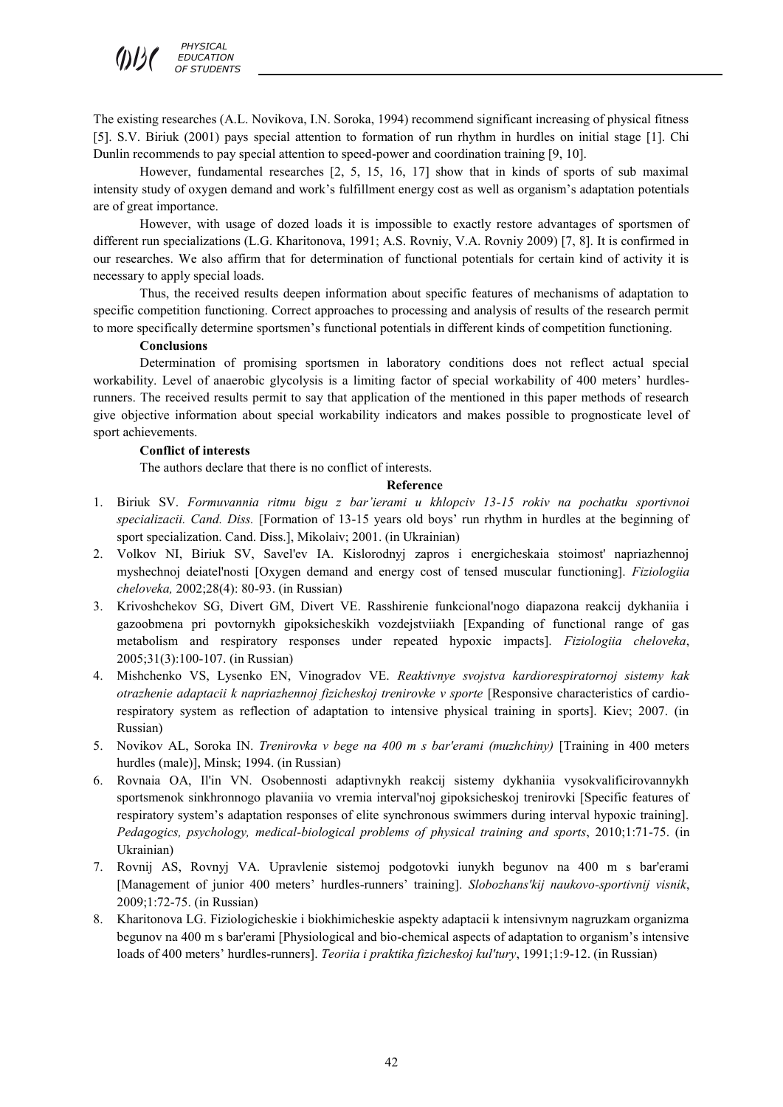

The existing researches (A.L. Novikova, I.N. Soroka, 1994) recommend significant increasing of physical fitness [5]. S.V. Biriuk (2001) pays special attention to formation of run rhythm in hurdles on initial stage [1]. Chi Dunlin recommends to pay special attention to speed-power and coordination training [9, 10].

However, fundamental researches [2, 5, 15, 16, 17] show that in kinds of sports of sub maximal intensity study of oxygen demand and work's fulfillment energy cost as well as organism's adaptation potentials are of great importance.

However, with usage of dozed loads it is impossible to exactly restore advantages of sportsmen of different run specializations (L.G. Kharitonova, 1991; A.S. Rovniy, V.A. Rovniy 2009) [7, 8]. It is confirmed in our researches. We also affirm that for determination of functional potentials for certain kind of activity it is necessary to apply special loads.

Thus, the received results deepen information about specific features of mechanisms of adaptation to specific competition functioning. Correct approaches to processing and analysis of results of the research permit to more specifically determine sportsmen's functional potentials in different kinds of competition functioning.

#### **Conclusions**

Determination of promising sportsmen in laboratory conditions does not reflect actual special workability. Level of anaerobic glycolysis is a limiting factor of special workability of 400 meters' hurdlesrunners. The received results permit to say that application of the mentioned in this paper methods of research give objective information about special workability indicators and makes possible to prognosticate level of sport achievements.

#### **Conflict of interests**

The authors declare that there is no conflict of interests.

#### **Reference**

- 1. Biriuk SV. *Formuvannia ritmu bigu z bar'ierami u khlopciv 13-15 rokiv na pochatku sportivnoi specializacii. Cand. Diss.* [Formation of 13-15 years old boys' run rhythm in hurdles at the beginning of sport specialization. Cand. Diss.], Mikolaiv; 2001. (in Ukrainian)
- 2. Volkov NI, Biriuk SV, Savel'ev IA. Kislorodnyj zapros i energicheskaia stoimost' napriazhennoj myshechnoj deiatel'nosti [Oxygen demand and energy cost of tensed muscular functioning]. *Fiziologiia cheloveka,* 2002;28(4): 80-93. (in Russian)
- 3. Krivoshchekov SG, Divert GM, Divert VE. Rasshirenie funkcional'nogo diapazona reakcij dykhaniia i gazoobmena pri povtornykh gipoksicheskikh vozdejstviiakh [Expanding of functional range of gas metabolism and respiratory responses under repeated hypoxic impacts]. *Fiziologiia cheloveka*, 2005;31(3):100-107. (in Russian)
- 4. Mishchenko VS, Lysenko EN, Vinogradov VE. *Reaktivnye svojstva kardiorespiratornoj sistemy kak otrazhenie adaptacii k napriazhennoj fizicheskoj trenirovke v sporte* [Responsive characteristics of cardiorespiratory system as reflection of adaptation to intensive physical training in sports]. Kiev; 2007. (in Russian)
- 5. Novikov AL, Soroka IN. *Trenirovka v bege na 400 m s bar'erami (muzhchiny)* [Training in 400 meters hurdles (male)], Minsk; 1994. (in Russian)
- 6. Rovnaia OA, Il'in VN. Osobennosti adaptivnykh reakcij sistemy dykhaniia vysokvalificirovannykh sportsmenok sinkhronnogo plavaniia vo vremia interval'noj gipoksicheskoj trenirovki [Specific features of respiratory system's adaptation responses of elite synchronous swimmers during interval hypoxic training]. *Pedagogics, psychology, medical-biological problems of physical training and sports*, 2010;1:71-75. (in Ukrainian)
- 7. Rovnij AS, Rovnyj VA. Upravlenie sistemoj podgotovki iunykh begunov na 400 m s bar'erami [Management of junior 400 meters' hurdles-runners' training]. *Slobozhans'kij naukovo-sportivnij visnik*, 2009;1:72-75. (in Russian)
- 8. Kharitonova LG. Fiziologicheskie i biokhimicheskie aspekty adaptacii k intensivnym nagruzkam organizma begunov na 400 m s bar'erami [Physiological and bio-chemical aspects of adaptation to organism's intensive loads of 400 meters' hurdles-runners]. *Teoriia i praktika fizicheskoj kul'tury*, 1991;1:9-12. (in Russian)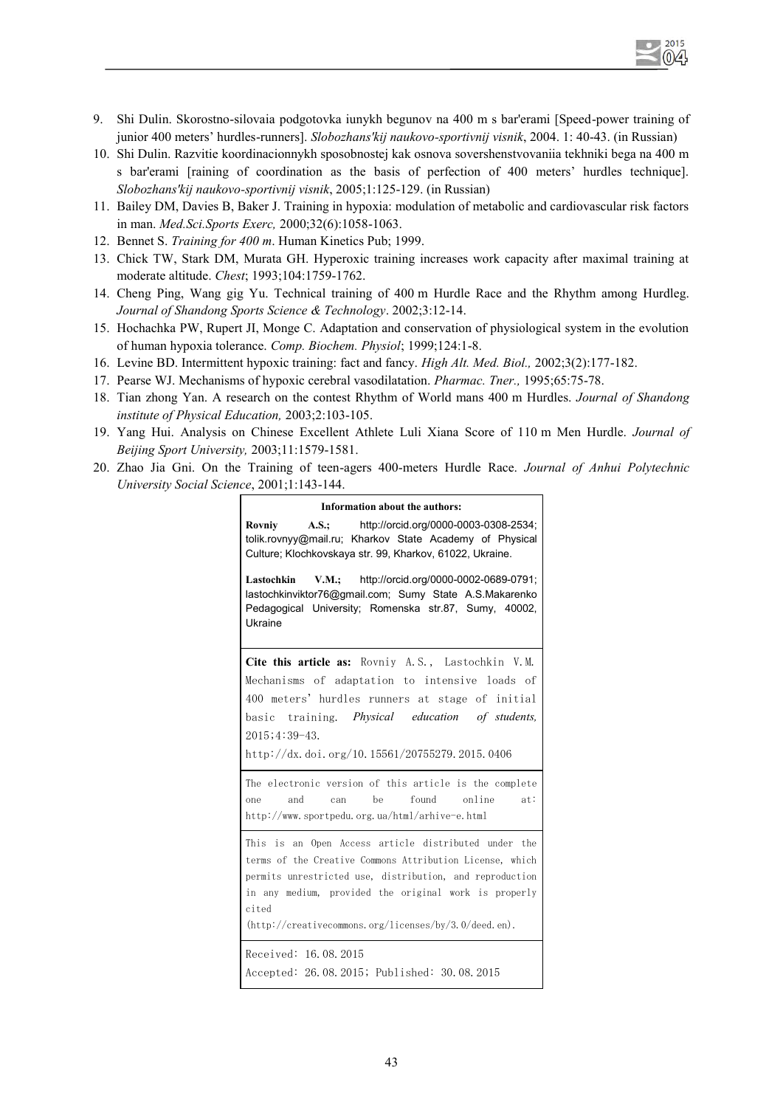

- 9. Shi Dulin. Skorostno-silovaia podgotovka iunykh begunov na 400 m s bar'erami [Speed-power training of junior 400 meters' hurdles-runners]. *Slobozhans'kij naukovo-sportivnij visnik*, 2004. 1: 40-43. (in Russian)
- 10. Shi Dulin. Razvitie koordinacionnykh sposobnostej kak osnova sovershenstvovaniia tekhniki bega na 400 m s bar'erami [raining of coordination as the basis of perfection of 400 meters' hurdles technique]. *Slobozhans'kij naukovo-sportivnij visnik*, 2005;1:125-129. (in Russian)
- 11. Bailey DM, Davies B, Baker J. Training in hypoxia: modulation of metabolic and cardiovascular risk factors in man. *Med.Sci.Sports Exerc,* 2000;32(6):1058-1063.
- 12. Bennet S. *Training for 400 m*. Human Kinetics Pub; 1999.
- 13. Chick TW, Stark DM, Murata GH. Hyperoxic training increases work capacity after maximal training at moderate altitude. *Chest*; 1993;104:1759-1762.
- 14. Cheng Ping, Wang gig Yu. Technical training of 400 m Hurdle Race and the Rhythm among Hurdleg. *Journal of Shandong Sports Science & Technology*. 2002;3:12-14.
- 15. Hochachka PW, Rupert JI, Monge C. Adaptation and conservation of physiological system in the evolution of human hypoxia tolerance. *Comp. Biochem. Physiol*; 1999;124:1-8.
- 16. Levine BD. Intermittent hypoxic training: fact and fancy. *High Alt. Med. Biol.,* 2002;3(2):177-182.
- 17. Pearse WJ. Mechanisms of hypoxic cerebral vasodilatation. *Pharmac. Tner.,* 1995;65:75-78.
- 18. Tian zhong Yan. A research on the contest Rhythm of World mans 400 m Hurdles. *Journal of Shandong institute of Physical Education,* 2003;2:103-105.
- 19. Yang Hui. Analysis on Chinese Excellent Athlete Luli Xiana Score of 110 m Men Hurdle. *Journal of Beijing Sport University,* 2003;11:1579-1581.
- 20. Zhao Jia Gni. On the Training of teen-agers 400-meters Hurdle Race. *Journal of Anhui Polytechnic University Social Science*, 2001;1:143-144.

#### **Information about the authors:**

**Rovniy A.S.;** http://orcid.org/0000-0003-0308-2534; tolik.rovnyy@mail.ru; Kharkov State Academy of Physical Culture; Klochkovskaya str. 99, Kharkov, 61022, Ukraine.

**Lastochkin V.M.;** http://orcid.org/0000-0002-0689-0791; lastochkinviktor76@gmail.com; Sumy State A.S.Makarenko Pedagogical University; Romenska str.87, Sumy, 40002, Ukraine

**Cite this article as:** Rovniy A.S., Lastochkin V.M. Mechanisms of adaptation to intensive loads of 400 meters' hurdles runners at stage of initial basic training. *Physical education of students,* 2015;4:39-43.

http://dx.doi.org/10.15561/20755279.2015.0406

The electronic version of this article is the complete one and can be found online at: http://www.sportpedu.org.ua/html/arhive-e.html

This is an Open Access article distributed under the terms of the Creative Commons Attribution License, which permits unrestricted use, distribution, and reproduction in any medium, provided the original work is properly cited

(http://creativecommons.org/licenses/by/3.0/deed.en).

Received: 16.08.2015 Accepted: 26.08.2015; Published: 30.08.2015